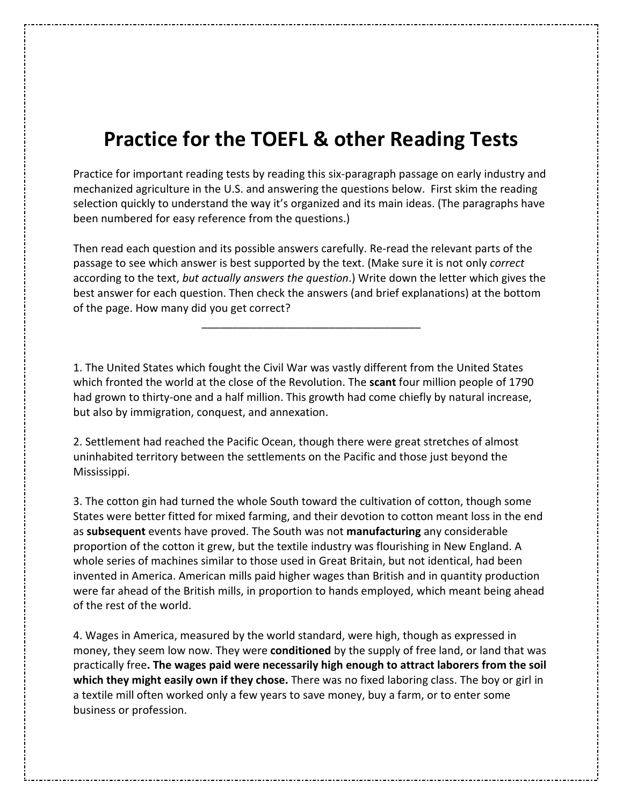## **Practice for the TOEFL & other Reading Tests**

Practice for important reading tests by reading this six-paragraph passage on early industry and mechanized agriculture in the U.S. and answering the questions below. First skim the reading selection quickly to understand the way it's organized and its main ideas. (The paragraphs have been numbered for easy reference from the questions.)

Then read each question and its possible answers carefully. Re-read the relevant parts of the passage to see which answer is best supported by the text. (Make sure it is not only *correct* according to the text, *but actually answers the question*.) Write down the letter which gives the best answer for each question. Then check the answers (and brief explanations) at the bottom of the page. How many did you get correct?

\_\_\_\_\_\_\_\_\_\_\_\_\_\_\_\_\_\_\_\_\_\_\_\_\_\_\_\_\_\_\_\_\_\_\_\_

1. The United States which fought the Civil War was vastly different from the United States which fronted the world at the close of the Revolution. The **scant** four million people of 1790 had grown to thirty-one and a half million. This growth had come chiefly by natural increase, but also by immigration, conquest, and annexation.

2. Settlement had reached the Pacific Ocean, though there were great stretches of almost uninhabited territory between the settlements on the Pacific and those just beyond the Mississippi.

3. The cotton gin had turned the whole South toward the cultivation of cotton, though some States were better fitted for mixed farming, and their devotion to cotton meant loss in the end as **subsequent** events have proved. The South was not **manufacturing** any considerable proportion of the cotton it grew, but the textile industry was flourishing in New England. A whole series of machines similar to those used in Great Britain, but not identical, had been invented in America. American mills paid higher wages than British and in quantity production were far ahead of the British mills, in proportion to hands employed, which meant being ahead of the rest of the world.

4. Wages in America, measured by the world standard, were high, though as expressed in money, they seem low now. They were **conditioned** by the supply of free land, or land that was practically free**. The wages paid were necessarily high enough to attract laborers from the soil which they might easily own if they chose.** There was no fixed laboring class. The boy or girl in a textile mill often worked only a few years to save money, buy a farm, or to enter some business or profession.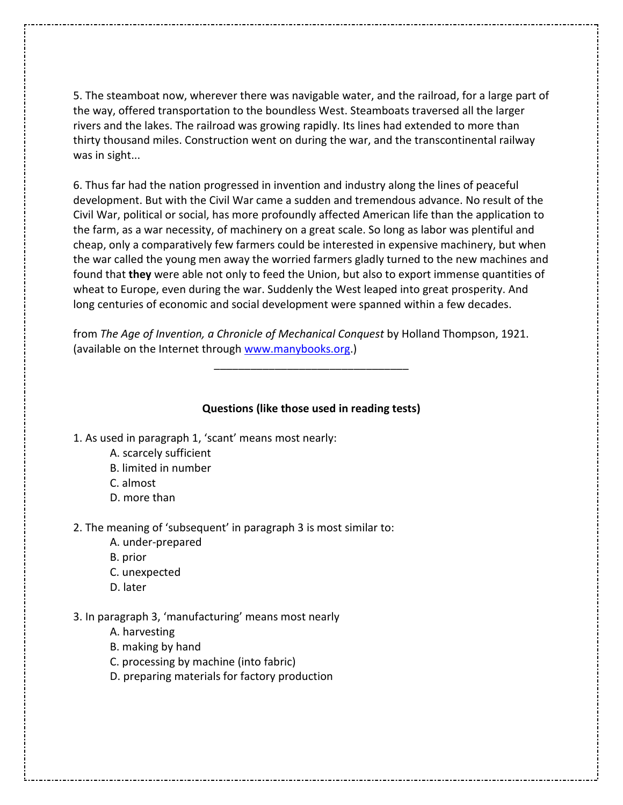5. The steamboat now, wherever there was navigable water, and the railroad, for a large part of the way, offered transportation to the boundless West. Steamboats traversed all the larger rivers and the lakes. The railroad was growing rapidly. Its lines had extended to more than thirty thousand miles. Construction went on during the war, and the transcontinental railway was in sight...

6. Thus far had the nation progressed in invention and industry along the lines of peaceful development. But with the Civil War came a sudden and tremendous advance. No result of the Civil War, political or social, has more profoundly affected American life than the application to the farm, as a war necessity, of machinery on a great scale. So long as labor was plentiful and cheap, only a comparatively few farmers could be interested in expensive machinery, but when the war called the young men away the worried farmers gladly turned to the new machines and found that **they** were able not only to feed the Union, but also to export immense quantities of wheat to Europe, even during the war. Suddenly the West leaped into great prosperity. And long centuries of economic and social development were spanned within a few decades.

from *The Age of Invention, a Chronicle of Mechanical Conquest* by Holland Thompson, 1921. (available on the Internet through www.manybooks.org.)

## **Questions (like those used in reading tests)**

\_\_\_\_\_\_\_\_\_\_\_\_\_\_\_\_\_\_\_\_\_\_\_\_\_\_\_\_\_\_\_\_

- 1. As used in paragraph 1, 'scant' means most nearly:
	- A. scarcely sufficient
	- B. limited in number
	- C. almost
	- D. more than

2. The meaning of 'subsequent' in paragraph 3 is most similar to:

- A. under-prepared
- B. prior
- C. unexpected
- D. later

## 3. In paragraph 3, 'manufacturing' means most nearly

- A. harvesting
- B. making by hand
- C. processing by machine (into fabric)
- D. preparing materials for factory production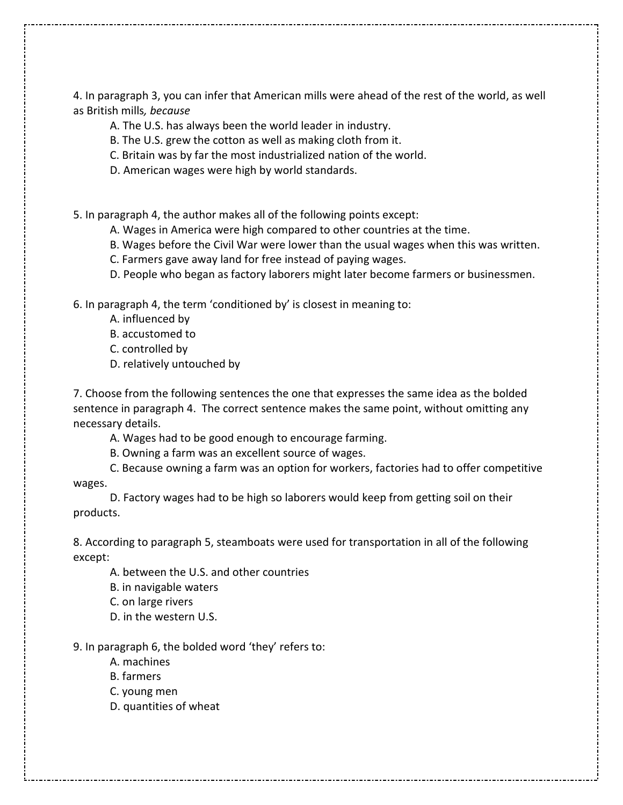4. In paragraph 3, you can infer that American mills were ahead of the rest of the world, as well as British mills*, because*

- A. The U.S. has always been the world leader in industry.
- B. The U.S. grew the cotton as well as making cloth from it.
- C. Britain was by far the most industrialized nation of the world.
- D. American wages were high by world standards.

5. In paragraph 4, the author makes all of the following points except:

- A. Wages in America were high compared to other countries at the time.
- B. Wages before the Civil War were lower than the usual wages when this was written.
- C. Farmers gave away land for free instead of paying wages.
- D. People who began as factory laborers might later become farmers or businessmen.

6. In paragraph 4, the term 'conditioned by' is closest in meaning to:

- A. influenced by
- B. accustomed to
- C. controlled by
- D. relatively untouched by

7. Choose from the following sentences the one that expresses the same idea as the bolded sentence in paragraph 4. The correct sentence makes the same point, without omitting any necessary details.

A. Wages had to be good enough to encourage farming.

B. Owning a farm was an excellent source of wages.

 C. Because owning a farm was an option for workers, factories had to offer competitive wages.

 D. Factory wages had to be high so laborers would keep from getting soil on their products.

8. According to paragraph 5, steamboats were used for transportation in all of the following except:

A. between the U.S. and other countries

B. in navigable waters

C. on large rivers

D. in the western U.S.

9. In paragraph 6, the bolded word 'they' refers to:

- A. machines
- B. farmers
- C. young men
- D. quantities of wheat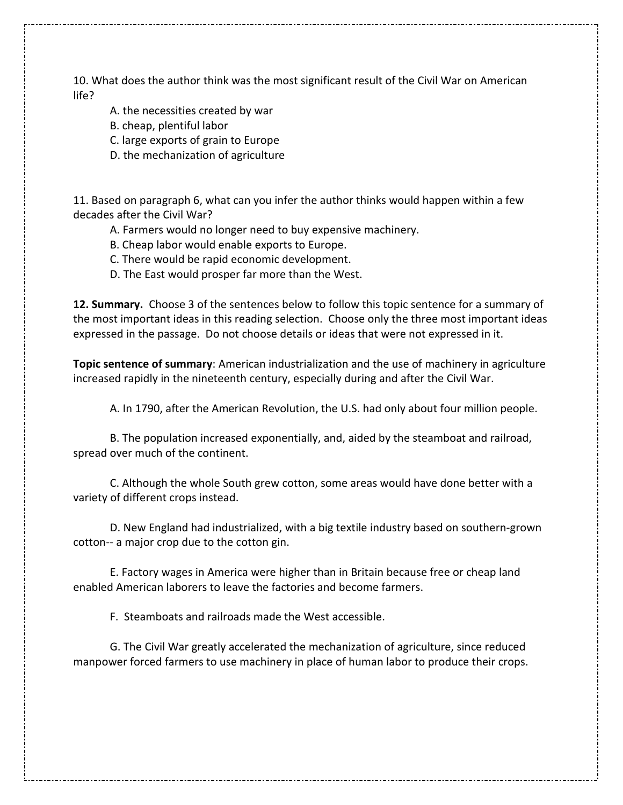10. What does the author think was the most significant result of the Civil War on American life?

- A. the necessities created by war
- B. cheap, plentiful labor
- C. large exports of grain to Europe
- D. the mechanization of agriculture

11. Based on paragraph 6, what can you infer the author thinks would happen within a few decades after the Civil War?

- A. Farmers would no longer need to buy expensive machinery.
- B. Cheap labor would enable exports to Europe.
- C. There would be rapid economic development.
- D. The East would prosper far more than the West.

**12. Summary.** Choose 3 of the sentences below to follow this topic sentence for a summary of the most important ideas in this reading selection. Choose only the three most important ideas expressed in the passage. Do not choose details or ideas that were not expressed in it.

**Topic sentence of summary**: American industrialization and the use of machinery in agriculture increased rapidly in the nineteenth century, especially during and after the Civil War.

A. In 1790, after the American Revolution, the U.S. had only about four million people.

 B. The population increased exponentially, and, aided by the steamboat and railroad, spread over much of the continent.

 C. Although the whole South grew cotton, some areas would have done better with a variety of different crops instead.

 D. New England had industrialized, with a big textile industry based on southern-grown cotton-- a major crop due to the cotton gin.

 E. Factory wages in America were higher than in Britain because free or cheap land enabled American laborers to leave the factories and become farmers.

F. Steamboats and railroads made the West accessible.

 G. The Civil War greatly accelerated the mechanization of agriculture, since reduced manpower forced farmers to use machinery in place of human labor to produce their crops.